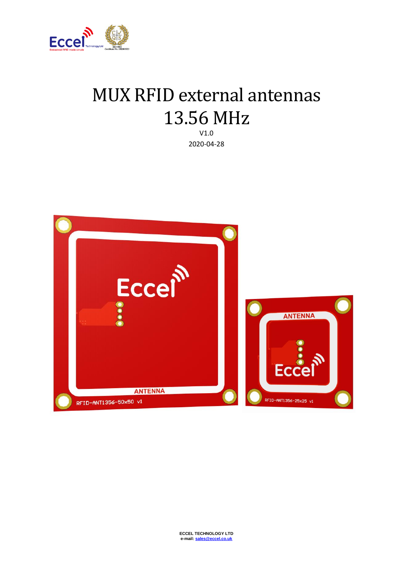

# MUX RFID external antennas 13.56 MHz

V1.0 2020-04-28

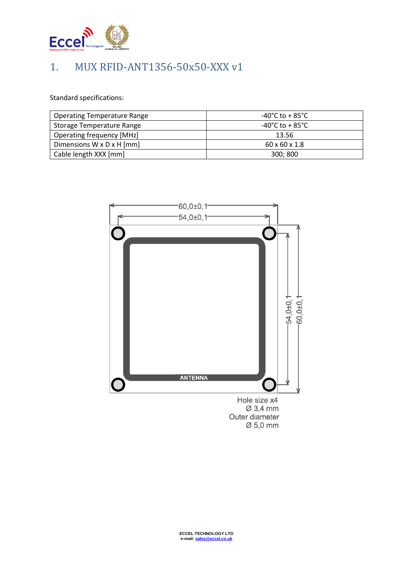

## 1. MUX RFID-ANT1356-50x50-XXX v1

Standard specifications:

| <b>Operating Temperature Range</b> | $-40^{\circ}$ C to + 85 $^{\circ}$ C |
|------------------------------------|--------------------------------------|
| Storage Temperature Range          | $-40^{\circ}$ C to + 85 $^{\circ}$ C |
| <b>Operating frequency [MHz]</b>   | 13.56                                |
| Dimensions W x D x H [mm]          | $60 \times 60 \times 1.8$            |
| Cable length XXX [mm]              | 300; 800                             |

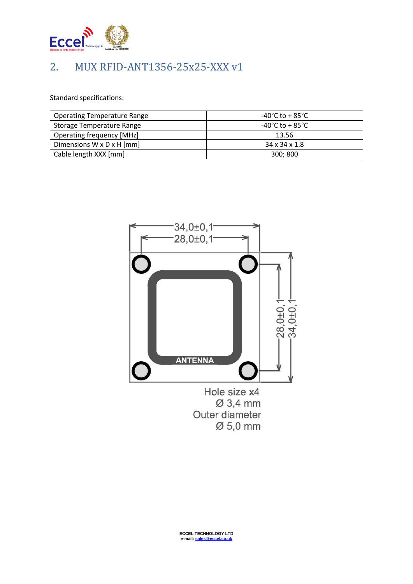

### 2. MUX RFID-ANT1356-25x25-XXX v1

Standard specifications:

| <b>Operating Temperature Range</b> | $-40^{\circ}$ C to + 85 $^{\circ}$ C |
|------------------------------------|--------------------------------------|
| Storage Temperature Range          | $-40^{\circ}$ C to + 85 $^{\circ}$ C |
| <b>Operating frequency [MHz]</b>   | 13.56                                |
| Dimensions W x D x H [mm]          | $34 \times 34 \times 1.8$            |
| Cable length XXX [mm]              | 300; 800                             |

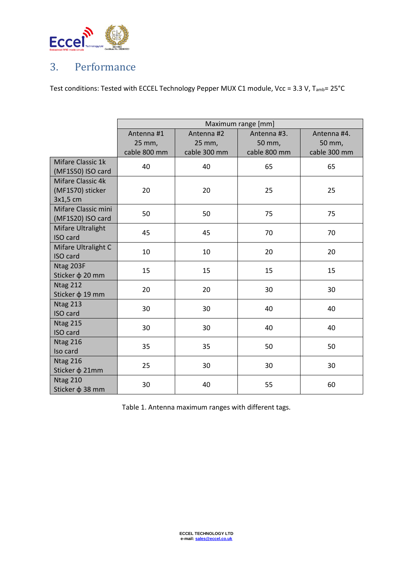

#### 3. Performance

Test conditions: Tested with ECCEL Technology Pepper MUX C1 module, Vcc = 3.3 V, T<sub>amb</sub>= 25°C

|                          | Maximum range [mm] |              |              |              |  |  |
|--------------------------|--------------------|--------------|--------------|--------------|--|--|
|                          | Antenna #1         | Antenna #2   | Antenna #3.  | Antenna #4.  |  |  |
|                          | 25 mm,             | 25 mm,       | 50 mm,       | 50 mm,       |  |  |
|                          | cable 800 mm       | cable 300 mm | cable 800 mm | cable 300 mm |  |  |
| Mifare Classic 1k        |                    | 40           | 65           | 65           |  |  |
| (MF1S50) ISO card        | 40                 |              |              |              |  |  |
| <b>Mifare Classic 4k</b> |                    |              |              |              |  |  |
| (MF1S70) sticker         | 20                 | 20           | 25           | 25           |  |  |
| 3x1,5 cm                 |                    |              |              |              |  |  |
| Mifare Classic mini      | 50                 | 50           | 75           | 75           |  |  |
| (MF1S20) ISO card        |                    |              |              |              |  |  |
| Mifare Ultralight        | 45                 | 45           | 70           | 70           |  |  |
| <b>ISO</b> card          |                    |              |              |              |  |  |
| Mifare Ultralight C      | 10                 | 10           | 20           | 20           |  |  |
| <b>ISO</b> card          |                    |              |              |              |  |  |
| Ntag 203F                | 15                 | 15           | 15           | 15           |  |  |
| Sticker φ 20 mm          |                    |              |              |              |  |  |
| <b>Ntag 212</b>          | 20                 | 20           | 30           | 30           |  |  |
| Sticker φ 19 mm          |                    |              |              |              |  |  |
| Ntag 213                 | 30                 | 30           | 40           | 40           |  |  |
| <b>ISO</b> card          |                    |              |              |              |  |  |
| <b>Ntag 215</b>          | 30                 | 30           | 40           | 40           |  |  |
| <b>ISO</b> card          |                    |              |              |              |  |  |
| Ntag 216                 | 35                 | 35           | 50           | 50           |  |  |
| Iso card                 |                    |              |              |              |  |  |
| Ntag 216                 | 25                 | 30           | 30           | 30           |  |  |
| Sticker φ 21mm           |                    |              |              |              |  |  |
| <b>Ntag 210</b>          | 30                 | 40           | 55           | 60           |  |  |
| Sticker φ 38 mm          |                    |              |              |              |  |  |

Table 1. Antenna maximum ranges with different tags.